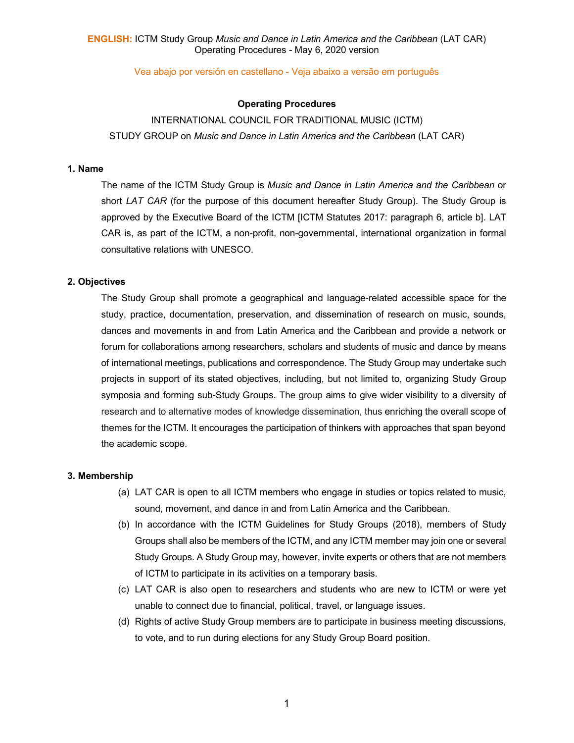Vea abajo por versión en castellano - Veja abaixo a versão em português

### **Operating Procedures**

# INTERNATIONAL COUNCIL FOR TRADITIONAL MUSIC (ICTM) STUDY GROUP on *Music and Dance in Latin America and the Caribbean* (LAT CAR)

### **1. Name**

The name of the ICTM Study Group is *Music and Dance in Latin America and the Caribbean* or short *LAT CAR* (for the purpose of this document hereafter Study Group). The Study Group is approved by the Executive Board of the ICTM [ICTM Statutes 2017: paragraph 6, article b]. LAT CAR is, as part of the ICTM, a non-profit, non-governmental, international organization in formal consultative relations with UNESCO.

#### **2. Objectives**

The Study Group shall promote a geographical and language-related accessible space for the study, practice, documentation, preservation, and dissemination of research on music, sounds, dances and movements in and from Latin America and the Caribbean and provide a network or forum for collaborations among researchers, scholars and students of music and dance by means of international meetings, publications and correspondence. The Study Group may undertake such projects in support of its stated objectives, including, but not limited to, organizing Study Group symposia and forming sub-Study Groups. The group aims to give wider visibility to a diversity of research and to alternative modes of knowledge dissemination, thus enriching the overall scope of themes for the ICTM. It encourages the participation of thinkers with approaches that span beyond the academic scope.

#### **3. Membership**

- (a) LAT CAR is open to all ICTM members who engage in studies or topics related to music, sound, movement, and dance in and from Latin America and the Caribbean.
- (b) In accordance with the ICTM Guidelines for Study Groups (2018), members of Study Groups shall also be members of the ICTM, and any ICTM member may join one or several Study Groups. A Study Group may, however, invite experts or others that are not members of ICTM to participate in its activities on a temporary basis.
- (c) LAT CAR is also open to researchers and students who are new to ICTM or were yet unable to connect due to financial, political, travel, or language issues.
- (d) Rights of active Study Group members are to participate in business meeting discussions, to vote, and to run during elections for any Study Group Board position.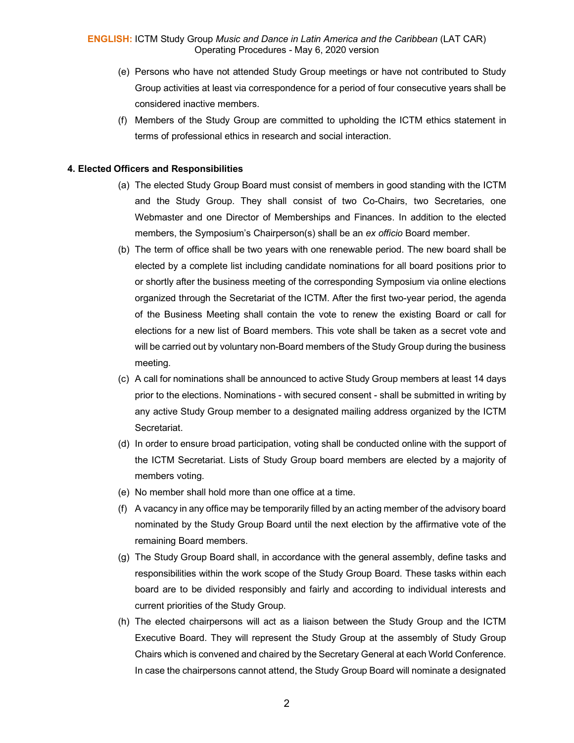- (e) Persons who have not attended Study Group meetings or have not contributed to Study Group activities at least via correspondence for a period of four consecutive years shall be considered inactive members.
- (f) Members of the Study Group are committed to upholding the ICTM ethics statement in terms of professional ethics in research and social interaction.

# **4. Elected Officers and Responsibilities**

- (a) The elected Study Group Board must consist of members in good standing with the ICTM and the Study Group. They shall consist of two Co-Chairs, two Secretaries, one Webmaster and one Director of Memberships and Finances. In addition to the elected members, the Symposium's Chairperson(s) shall be an *ex officio* Board member.
- (b) The term of office shall be two years with one renewable period. The new board shall be elected by a complete list including candidate nominations for all board positions prior to or shortly after the business meeting of the corresponding Symposium via online elections organized through the Secretariat of the ICTM. After the first two-year period, the agenda of the Business Meeting shall contain the vote to renew the existing Board or call for elections for a new list of Board members. This vote shall be taken as a secret vote and will be carried out by voluntary non-Board members of the Study Group during the business meeting.
- (c) A call for nominations shall be announced to active Study Group members at least 14 days prior to the elections. Nominations - with secured consent - shall be submitted in writing by any active Study Group member to a designated mailing address organized by the ICTM Secretariat.
- (d) In order to ensure broad participation, voting shall be conducted online with the support of the ICTM Secretariat. Lists of Study Group board members are elected by a majority of members voting.
- (e) No member shall hold more than one office at a time.
- (f) A vacancy in any office may be temporarily filled by an acting member of the advisory board nominated by the Study Group Board until the next election by the affirmative vote of the remaining Board members.
- (g) The Study Group Board shall, in accordance with the general assembly, define tasks and responsibilities within the work scope of the Study Group Board. These tasks within each board are to be divided responsibly and fairly and according to individual interests and current priorities of the Study Group.
- (h) The elected chairpersons will act as a liaison between the Study Group and the ICTM Executive Board. They will represent the Study Group at the assembly of Study Group Chairs which is convened and chaired by the Secretary General at each World Conference. In case the chairpersons cannot attend, the Study Group Board will nominate a designated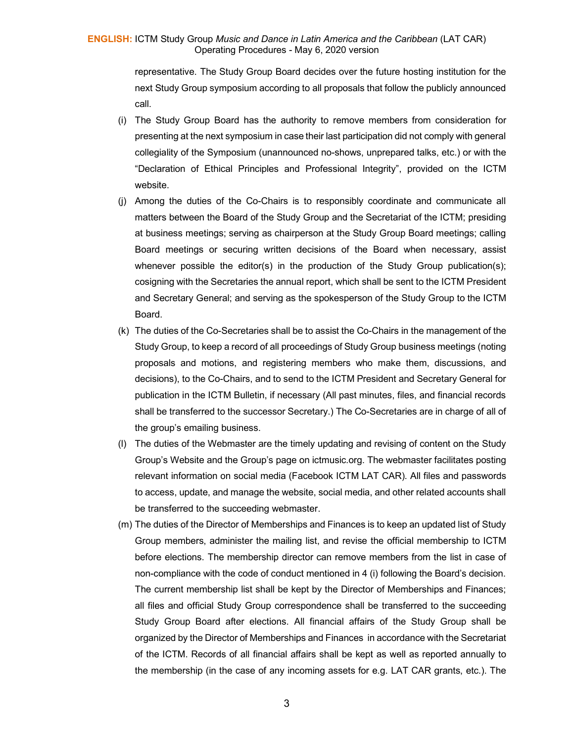### **ENGLISH:** ICTM Study Group *Music and Dance in Latin America and the Caribbean* (LAT CAR) Operating Procedures - May 6, 2020 version

representative. The Study Group Board decides over the future hosting institution for the next Study Group symposium according to all proposals that follow the publicly announced call.

- (i) The Study Group Board has the authority to remove members from consideration for presenting at the next symposium in case their last participation did not comply with general collegiality of the Symposium (unannounced no-shows, unprepared talks, etc.) or with the "Declaration of Ethical Principles and Professional Integrity", provided on the ICTM website.
- (j) Among the duties of the Co-Chairs is to responsibly coordinate and communicate all matters between the Board of the Study Group and the Secretariat of the ICTM; presiding at business meetings; serving as chairperson at the Study Group Board meetings; calling Board meetings or securing written decisions of the Board when necessary, assist whenever possible the editor(s) in the production of the Study Group publication(s); cosigning with the Secretaries the annual report, which shall be sent to the ICTM President and Secretary General; and serving as the spokesperson of the Study Group to the ICTM Board.
- (k) The duties of the Co-Secretaries shall be to assist the Co-Chairs in the management of the Study Group, to keep a record of all proceedings of Study Group business meetings (noting proposals and motions, and registering members who make them, discussions, and decisions), to the Co-Chairs, and to send to the ICTM President and Secretary General for publication in the ICTM Bulletin, if necessary (All past minutes, files, and financial records shall be transferred to the successor Secretary.) The Co-Secretaries are in charge of all of the group's emailing business.
- (l) The duties of the Webmaster are the timely updating and revising of content on the Study Group's Website and the Group's page on ictmusic.org. The webmaster facilitates posting relevant information on social media (Facebook ICTM LAT CAR). All files and passwords to access, update, and manage the website, social media, and other related accounts shall be transferred to the succeeding webmaster.
- (m) The duties of the Director of Memberships and Finances is to keep an updated list of Study Group members, administer the mailing list, and revise the official membership to ICTM before elections. The membership director can remove members from the list in case of non-compliance with the code of conduct mentioned in 4 (i) following the Board's decision. The current membership list shall be kept by the Director of Memberships and Finances; all files and official Study Group correspondence shall be transferred to the succeeding Study Group Board after elections. All financial affairs of the Study Group shall be organized by the Director of Memberships and Finances in accordance with the Secretariat of the ICTM. Records of all financial affairs shall be kept as well as reported annually to the membership (in the case of any incoming assets for e.g. LAT CAR grants, etc.). The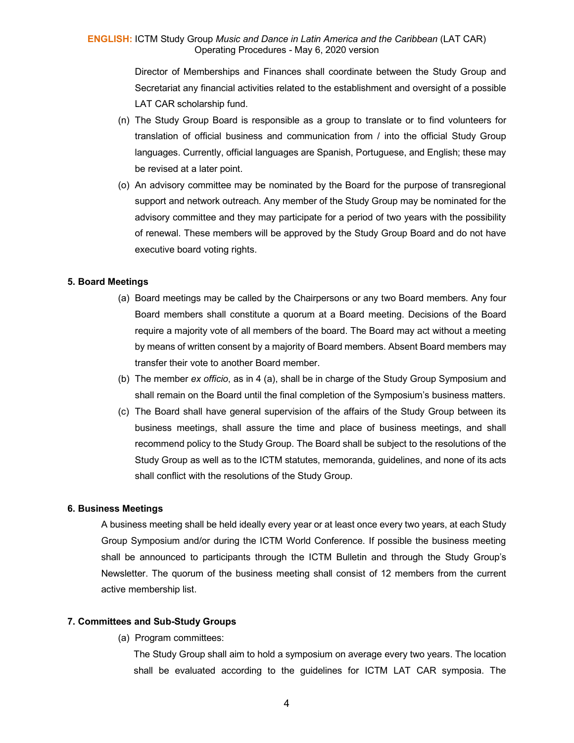### **ENGLISH:** ICTM Study Group *Music and Dance in Latin America and the Caribbean* (LAT CAR) Operating Procedures - May 6, 2020 version

Director of Memberships and Finances shall coordinate between the Study Group and Secretariat any financial activities related to the establishment and oversight of a possible LAT CAR scholarship fund.

- (n) The Study Group Board is responsible as a group to translate or to find volunteers for translation of official business and communication from / into the official Study Group languages. Currently, official languages are Spanish, Portuguese, and English; these may be revised at a later point.
- (o) An advisory committee may be nominated by the Board for the purpose of transregional support and network outreach. Any member of the Study Group may be nominated for the advisory committee and they may participate for a period of two years with the possibility of renewal. These members will be approved by the Study Group Board and do not have executive board voting rights.

#### **5. Board Meetings**

- (a) Board meetings may be called by the Chairpersons or any two Board members. Any four Board members shall constitute a quorum at a Board meeting. Decisions of the Board require a majority vote of all members of the board. The Board may act without a meeting by means of written consent by a majority of Board members. Absent Board members may transfer their vote to another Board member.
- (b) The member *ex officio*, as in 4 (a), shall be in charge of the Study Group Symposium and shall remain on the Board until the final completion of the Symposium's business matters.
- (c) The Board shall have general supervision of the affairs of the Study Group between its business meetings, shall assure the time and place of business meetings, and shall recommend policy to the Study Group. The Board shall be subject to the resolutions of the Study Group as well as to the ICTM statutes, memoranda, guidelines, and none of its acts shall conflict with the resolutions of the Study Group.

### **6. Business Meetings**

A business meeting shall be held ideally every year or at least once every two years, at each Study Group Symposium and/or during the ICTM World Conference. If possible the business meeting shall be announced to participants through the ICTM Bulletin and through the Study Group's Newsletter. The quorum of the business meeting shall consist of 12 members from the current active membership list.

#### **7. Committees and Sub-Study Groups**

(a) Program committees:

The Study Group shall aim to hold a symposium on average every two years. The location shall be evaluated according to the guidelines for ICTM LAT CAR symposia. The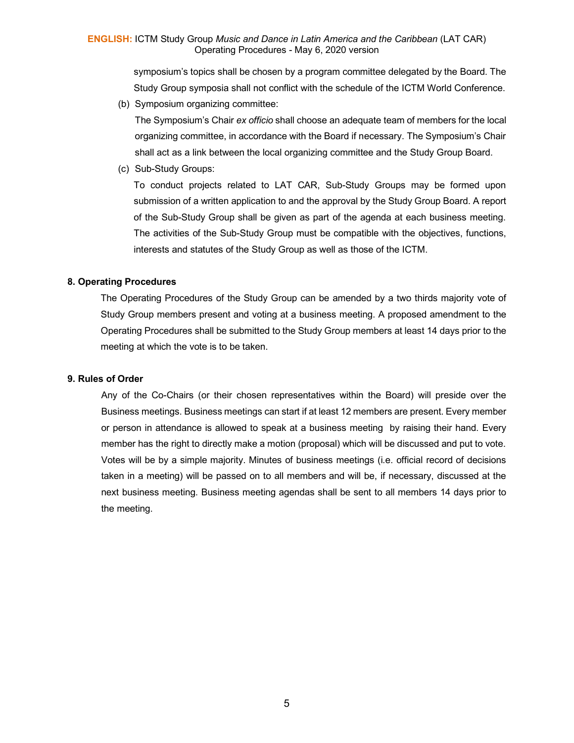symposium's topics shall be chosen by a program committee delegated by the Board. The Study Group symposia shall not conflict with the schedule of the ICTM World Conference.

(b) Symposium organizing committee:

The Symposium's Chair *ex officio* shall choose an adequate team of members for the local organizing committee, in accordance with the Board if necessary. The Symposium's Chair shall act as a link between the local organizing committee and the Study Group Board.

(c) Sub-Study Groups:

To conduct projects related to LAT CAR, Sub-Study Groups may be formed upon submission of a written application to and the approval by the Study Group Board. A report of the Sub-Study Group shall be given as part of the agenda at each business meeting. The activities of the Sub-Study Group must be compatible with the objectives, functions, interests and statutes of the Study Group as well as those of the ICTM.

# **8. Operating Procedures**

The Operating Procedures of the Study Group can be amended by a two thirds majority vote of Study Group members present and voting at a business meeting. A proposed amendment to the Operating Procedures shall be submitted to the Study Group members at least 14 days prior to the meeting at which the vote is to be taken.

#### **9. Rules of Order**

Any of the Co-Chairs (or their chosen representatives within the Board) will preside over the Business meetings. Business meetings can start if at least 12 members are present. Every member or person in attendance is allowed to speak at a business meeting by raising their hand. Every member has the right to directly make a motion (proposal) which will be discussed and put to vote. Votes will be by a simple majority. Minutes of business meetings (i.e. official record of decisions taken in a meeting) will be passed on to all members and will be, if necessary, discussed at the next business meeting. Business meeting agendas shall be sent to all members 14 days prior to the meeting.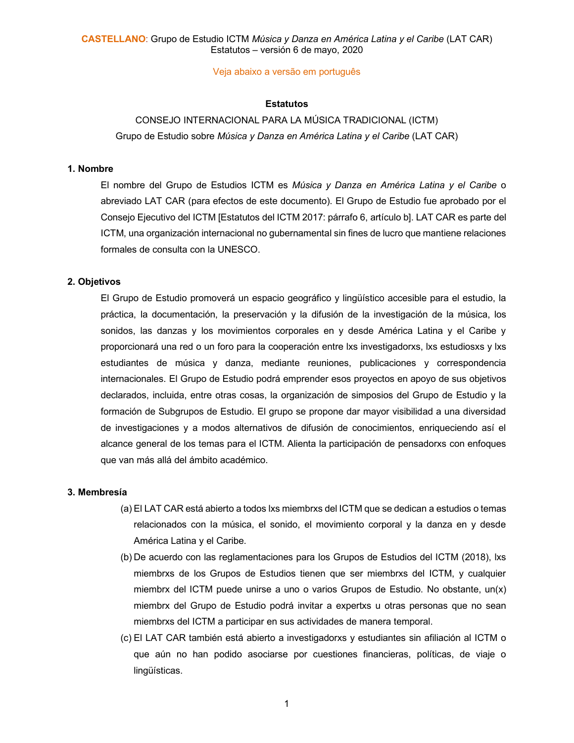Veja abaixo a versão em português

#### **Estatutos**

# CONSEJO INTERNACIONAL PARA LA MÚSICA TRADICIONAL (ICTM) Grupo de Estudio sobre *Música y Danza en América Latina y el Caribe* (LAT CAR)

#### **1. Nombre**

El nombre del Grupo de Estudios ICTM es *Música y Danza en América Latina y el Caribe* o abreviado LAT CAR (para efectos de este documento). El Grupo de Estudio fue aprobado por el Consejo Ejecutivo del ICTM [Estatutos del ICTM 2017: párrafo 6, artículo b]. LAT CAR es parte del ICTM, una organización internacional no gubernamental sin fines de lucro que mantiene relaciones formales de consulta con la UNESCO.

#### **2. Objetivos**

El Grupo de Estudio promoverá un espacio geográfico y lingüístico accesible para el estudio, la práctica, la documentación, la preservación y la difusión de la investigación de la música, los sonidos, las danzas y los movimientos corporales en y desde América Latina y el Caribe y proporcionará una red o un foro para la cooperación entre lxs investigadorxs, lxs estudiosxs y lxs estudiantes de música y danza, mediante reuniones, publicaciones y correspondencia internacionales. El Grupo de Estudio podrá emprender esos proyectos en apoyo de sus objetivos declarados, incluida, entre otras cosas, la organización de simposios del Grupo de Estudio y la formación de Subgrupos de Estudio. El grupo se propone dar mayor visibilidad a una diversidad de investigaciones y a modos alternativos de difusión de conocimientos, enriqueciendo así el alcance general de los temas para el ICTM. Alienta la participación de pensadorxs con enfoques que van más allá del ámbito académico.

#### **3. Membresía**

- (a) El LAT CAR está abierto a todos lxs miembrxs del ICTM que se dedican a estudios o temas relacionados con la música, el sonido, el movimiento corporal y la danza en y desde América Latina y el Caribe.
- (b) De acuerdo con las reglamentaciones para los Grupos de Estudios del ICTM (2018), lxs miembrxs de los Grupos de Estudios tienen que ser miembrxs del ICTM, y cualquier miembrx del ICTM puede unirse a uno o varios Grupos de Estudio. No obstante, un(x) miembrx del Grupo de Estudio podrá invitar a expertxs u otras personas que no sean miembrxs del ICTM a participar en sus actividades de manera temporal.
- (c) El LAT CAR también está abierto a investigadorxs y estudiantes sin afiliación al ICTM o que aún no han podido asociarse por cuestiones financieras, políticas, de viaje o lingüísticas.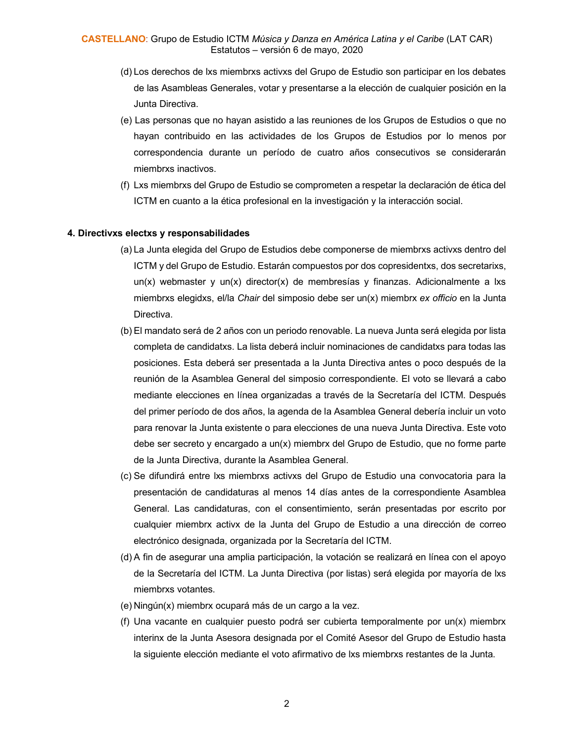- (d) Los derechos de lxs miembrxs activxs del Grupo de Estudio son participar en los debates de las Asambleas Generales, votar y presentarse a la elección de cualquier posición en la Junta Directiva.
- (e) Las personas que no hayan asistido a las reuniones de los Grupos de Estudios o que no hayan contribuido en las actividades de los Grupos de Estudios por lo menos por correspondencia durante un período de cuatro años consecutivos se considerarán miembrxs inactivos.
- (f) Lxs miembrxs del Grupo de Estudio se comprometen a respetar la declaración de ética del ICTM en cuanto a la ética profesional en la investigación y la interacción social.

#### **4. Directivxs electxs y responsabilidades**

- (a) La Junta elegida del Grupo de Estudios debe componerse de miembrxs activxs dentro del ICTM y del Grupo de Estudio. Estarán compuestos por dos copresidentxs, dos secretarixs, un(x) webmaster y un(x) director(x) de membresías y finanzas. Adicionalmente a lxs miembrxs elegidxs, el/la *Chair* del simposio debe ser un(x) miembrx *ex officio* en la Junta Directiva.
- (b) El mandato será de 2 años con un periodo renovable. La nueva Junta será elegida por lista completa de candidatxs. La lista deberá incluir nominaciones de candidatxs para todas las posiciones. Esta deberá ser presentada a la Junta Directiva antes o poco después de la reunión de la Asamblea General del simposio correspondiente. El voto se llevará a cabo mediante elecciones en línea organizadas a través de la Secretaría del ICTM. Después del primer período de dos años, la agenda de la Asamblea General debería incluir un voto para renovar la Junta existente o para elecciones de una nueva Junta Directiva. Este voto debe ser secreto y encargado a un(x) miembrx del Grupo de Estudio, que no forme parte de la Junta Directiva, durante la Asamblea General.
- (c) Se difundirá entre lxs miembrxs activxs del Grupo de Estudio una convocatoria para la presentación de candidaturas al menos 14 días antes de la correspondiente Asamblea General. Las candidaturas, con el consentimiento, serán presentadas por escrito por cualquier miembrx activx de la Junta del Grupo de Estudio a una dirección de correo electrónico designada, organizada por la Secretaría del ICTM.
- (d) A fin de asegurar una amplia participación, la votación se realizará en línea con el apoyo de la Secretaría del ICTM. La Junta Directiva (por listas) será elegida por mayoría de lxs miembrxs votantes.
- (e) Ningún(x) miembrx ocupará más de un cargo a la vez.
- (f) Una vacante en cualquier puesto podrá ser cubierta temporalmente por un(x) miembrx interinx de la Junta Asesora designada por el Comité Asesor del Grupo de Estudio hasta la siguiente elección mediante el voto afirmativo de lxs miembrxs restantes de la Junta.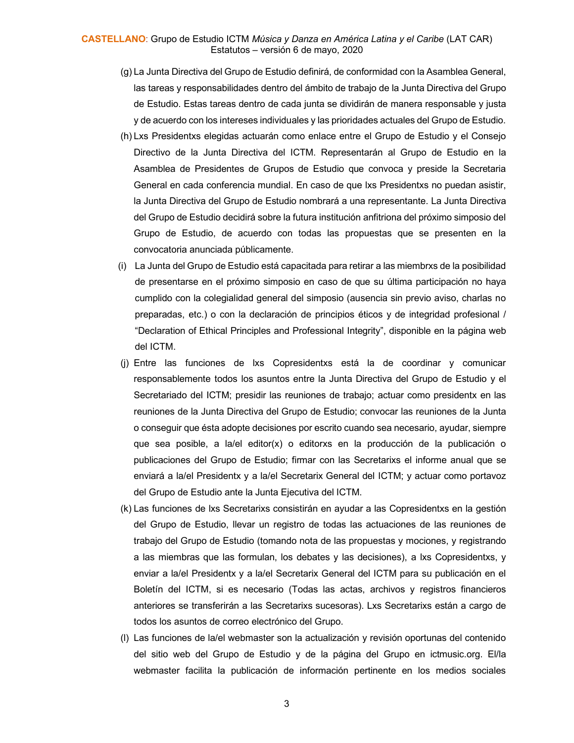#### **CASTELLANO**: Grupo de Estudio ICTM *Música y Danza en América Latina y el Caribe* (LAT CAR) Estatutos – versión 6 de mayo, 2020

- (g) La Junta Directiva del Grupo de Estudio definirá, de conformidad con la Asamblea General, las tareas y responsabilidades dentro del ámbito de trabajo de la Junta Directiva del Grupo de Estudio. Estas tareas dentro de cada junta se dividirán de manera responsable y justa y de acuerdo con los intereses individuales y las prioridades actuales del Grupo de Estudio.
- (h) Lxs Presidentxs elegidas actuarán como enlace entre el Grupo de Estudio y el Consejo Directivo de la Junta Directiva del ICTM. Representarán al Grupo de Estudio en la Asamblea de Presidentes de Grupos de Estudio que convoca y preside la Secretaria General en cada conferencia mundial. En caso de que lxs Presidentxs no puedan asistir, la Junta Directiva del Grupo de Estudio nombrará a una representante. La Junta Directiva del Grupo de Estudio decidirá sobre la futura institución anfitriona del próximo simposio del Grupo de Estudio, de acuerdo con todas las propuestas que se presenten en la convocatoria anunciada públicamente.
- (i) La Junta del Grupo de Estudio está capacitada para retirar a las miembrxs de la posibilidad de presentarse en el próximo simposio en caso de que su última participación no haya cumplido con la colegialidad general del simposio (ausencia sin previo aviso, charlas no preparadas, etc.) o con la declaración de principios éticos y de integridad profesional / "Declaration of Ethical Principles and Professional Integrity", disponible en la página web del ICTM.
- (j) Entre las funciones de lxs Copresidentxs está la de coordinar y comunicar responsablemente todos los asuntos entre la Junta Directiva del Grupo de Estudio y el Secretariado del ICTM; presidir las reuniones de trabajo; actuar como presidentx en las reuniones de la Junta Directiva del Grupo de Estudio; convocar las reuniones de la Junta o conseguir que ésta adopte decisiones por escrito cuando sea necesario, ayudar, siempre que sea posible, a la/el editor(x) o editorxs en la producción de la publicación o publicaciones del Grupo de Estudio; firmar con las Secretarixs el informe anual que se enviará a la/el Presidentx y a la/el Secretarix General del ICTM; y actuar como portavoz del Grupo de Estudio ante la Junta Ejecutiva del ICTM.
- (k) Las funciones de lxs Secretarixs consistirán en ayudar a las Copresidentxs en la gestión del Grupo de Estudio, llevar un registro de todas las actuaciones de las reuniones de trabajo del Grupo de Estudio (tomando nota de las propuestas y mociones, y registrando a las miembras que las formulan, los debates y las decisiones), a lxs Copresidentxs, y enviar a la/el Presidentx y a la/el Secretarix General del ICTM para su publicación en el Boletín del ICTM, si es necesario (Todas las actas, archivos y registros financieros anteriores se transferirán a las Secretarixs sucesoras). Lxs Secretarixs están a cargo de todos los asuntos de correo electrónico del Grupo.
- (l) Las funciones de la/el webmaster son la actualización y revisión oportunas del contenido del sitio web del Grupo de Estudio y de la página del Grupo en ictmusic.org. El/la webmaster facilita la publicación de información pertinente en los medios sociales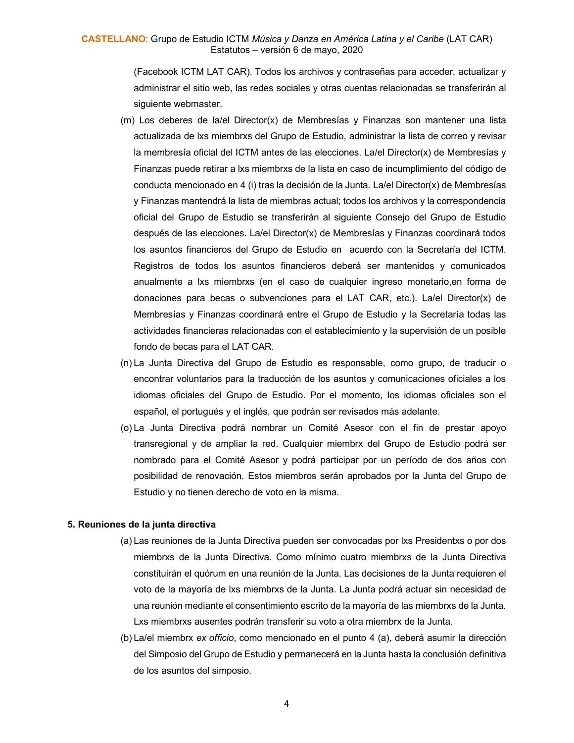(Facebook ICTM LAT CAR). Todos los archivos y contraseñas para acceder, actualizar y administrar el sitio web, las redes sociales y otras cuentas relacionadas se transferirán al siguiente webmaster.

- (m) Los deberes de la/el Director(x) de Membresías y Finanzas son mantener una lista actualizada de lxs miembrxs del Grupo de Estudio, administrar la lista de correo y revisar la membresía oficial del ICTM antes de las elecciones. La/el Director(x) de Membresías y Finanzas puede retirar a lxs miembrxs de la lista en caso de incumplimiento del código de conducta mencionado en 4 (i) tras la decisión de la Junta. La/el Director(x) de Membresías y Finanzas mantendrá la lista de miembras actual; todos los archivos y la correspondencia oficial del Grupo de Estudio se transferirán al siguiente Consejo del Grupo de Estudio después de las elecciones. La/el Director(x) de Membresías y Finanzas coordinará todos los asuntos financieros del Grupo de Estudio en acuerdo con la Secretaría del ICTM. Registros de todos los asuntos financieros deberá ser mantenidos y comunicados anualmente a lxs miembrxs (en el caso de cualquier ingreso monetario,en forma de donaciones para becas o subvenciones para el LAT CAR, etc.). La/el Director(x) de Membresías y Finanzas coordinará entre el Grupo de Estudio y la Secretaría todas las actividades financieras relacionadas con el establecimiento y la supervisión de un posible fondo de becas para el LAT CAR.
- (n) La Junta Directiva del Grupo de Estudio es responsable, como grupo, de traducir o encontrar voluntarios para la traducción de los asuntos y comunicaciones oficiales a los idiomas oficiales del Grupo de Estudio. Por el momento, los idiomas oficiales son el español, el portugués y el inglés, que podrán ser revisados más adelante.
- (o) La Junta Directiva podrá nombrar un Comité Asesor con el fin de prestar apoyo transregional y de ampliar la red. Cualquier miembrx del Grupo de Estudio podrá ser nombrado para el Comité Asesor y podrá participar por un período de dos años con posibilidad de renovación. Estos miembros serán aprobados por la Junta del Grupo de Estudio y no tienen derecho de voto en la misma.

#### **5. Reuniones de la junta directiva**

- (a) Las reuniones de la Junta Directiva pueden ser convocadas por lxs Presidentxs o por dos miembrxs de la Junta Directiva. Como mínimo cuatro miembrxs de la Junta Directiva constituirán el quórum en una reunión de la Junta. Las decisiones de la Junta requieren el voto de la mayoría de lxs miembrxs de la Junta. La Junta podrá actuar sin necesidad de una reunión mediante el consentimiento escrito de la mayoría de las miembrxs de la Junta. Lxs miembrxs ausentes podrán transferir su voto a otra miembrx de la Junta.
- (b) La/el miembrx *ex officio*, como mencionado en el punto 4 (a), deberá asumir la dirección del Simposio del Grupo de Estudio y permanecerá en la Junta hasta la conclusión definitiva de los asuntos del simposio.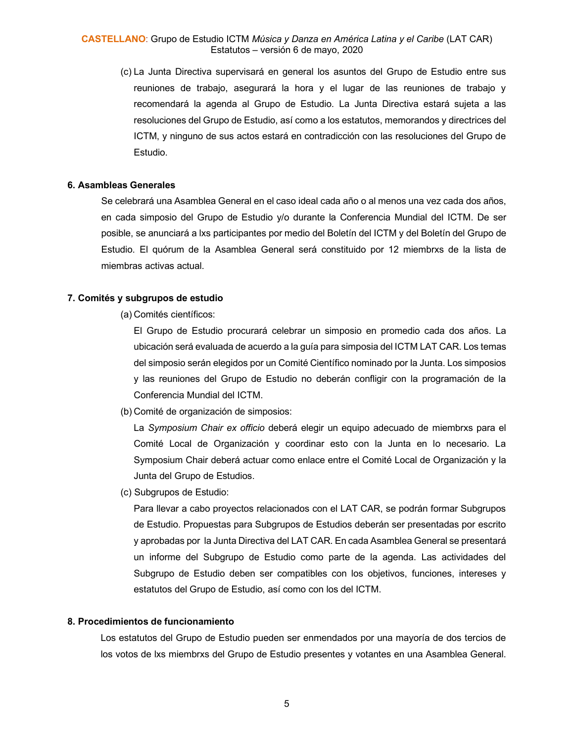### **CASTELLANO**: Grupo de Estudio ICTM *Música y Danza en América Latina y el Caribe* (LAT CAR) Estatutos – versión 6 de mayo, 2020

(c) La Junta Directiva supervisará en general los asuntos del Grupo de Estudio entre sus reuniones de trabajo, asegurará la hora y el lugar de las reuniones de trabajo y recomendará la agenda al Grupo de Estudio. La Junta Directiva estará sujeta a las resoluciones del Grupo de Estudio, así como a los estatutos, memorandos y directrices del ICTM, y ninguno de sus actos estará en contradicción con las resoluciones del Grupo de Estudio.

### **6. Asambleas Generales**

Se celebrará una Asamblea General en el caso ideal cada año o al menos una vez cada dos años, en cada simposio del Grupo de Estudio y/o durante la Conferencia Mundial del ICTM. De ser posible, se anunciará a lxs participantes por medio del Boletín del ICTM y del Boletín del Grupo de Estudio. El quórum de la Asamblea General será constituido por 12 miembrxs de la lista de miembras activas actual.

#### **7. Comités y subgrupos de estudio**

(a) Comités científicos:

El Grupo de Estudio procurará celebrar un simposio en promedio cada dos años. La ubicación será evaluada de acuerdo a la guía para simposia del ICTM LAT CAR. Los temas del simposio serán elegidos por un Comité Científico nominado por la Junta. Los simposios y las reuniones del Grupo de Estudio no deberán confligir con la programación de la Conferencia Mundial del ICTM.

(b) Comité de organización de simposios:

La *Symposium Chair ex officio* deberá elegir un equipo adecuado de miembrxs para el Comité Local de Organización y coordinar esto con la Junta en lo necesario. La Symposium Chair deberá actuar como enlace entre el Comité Local de Organización y la Junta del Grupo de Estudios.

(c) Subgrupos de Estudio:

Para llevar a cabo proyectos relacionados con el LAT CAR, se podrán formar Subgrupos de Estudio. Propuestas para Subgrupos de Estudios deberán ser presentadas por escrito y aprobadas por la Junta Directiva del LAT CAR. En cada Asamblea General se presentará un informe del Subgrupo de Estudio como parte de la agenda. Las actividades del Subgrupo de Estudio deben ser compatibles con los objetivos, funciones, intereses y estatutos del Grupo de Estudio, así como con los del ICTM.

#### **8. Procedimientos de funcionamiento**

Los estatutos del Grupo de Estudio pueden ser enmendados por una mayoría de dos tercios de los votos de lxs miembrxs del Grupo de Estudio presentes y votantes en una Asamblea General.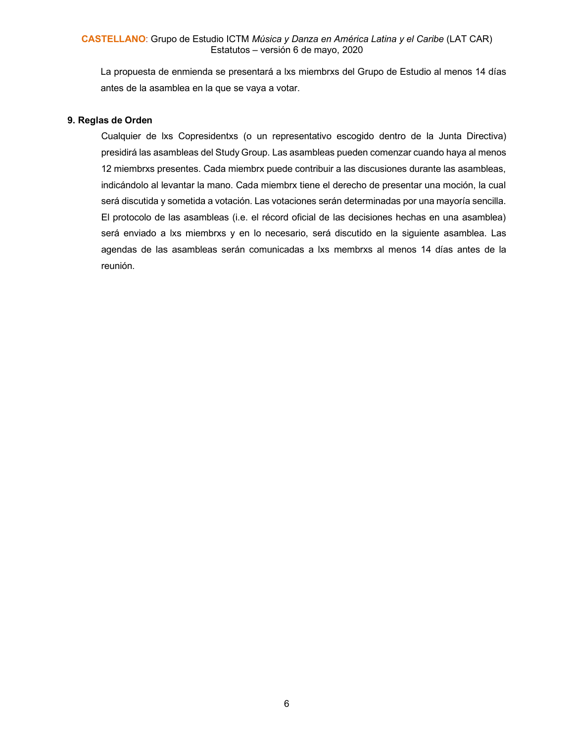La propuesta de enmienda se presentará a lxs miembrxs del Grupo de Estudio al menos 14 días antes de la asamblea en la que se vaya a votar.

### **9. Reglas de Orden**

Cualquier de lxs Copresidentxs (o un representativo escogido dentro de la Junta Directiva) presidirá las asambleas del Study Group. Las asambleas pueden comenzar cuando haya al menos 12 miembrxs presentes. Cada miembrx puede contribuir a las discusiones durante las asambleas, indicándolo al levantar la mano. Cada miembrx tiene el derecho de presentar una moción, la cual será discutida y sometida a votación. Las votaciones serán determinadas por una mayoría sencilla. El protocolo de las asambleas (i.e. el récord oficial de las decisiones hechas en una asamblea) será enviado a lxs miembrxs y en lo necesario, será discutido en la siguiente asamblea. Las agendas de las asambleas serán comunicadas a lxs membrxs al menos 14 días antes de la reunión.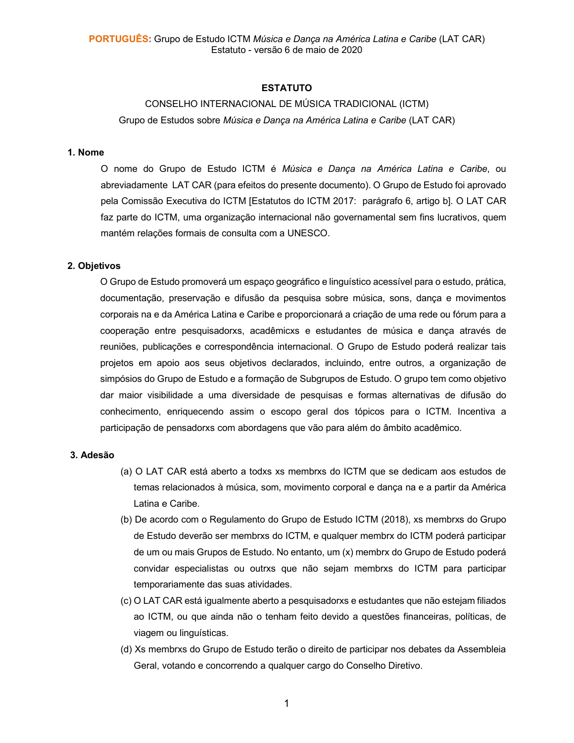# **ESTATUTO**

# CONSELHO INTERNACIONAL DE MÚSICA TRADICIONAL (ICTM)

Grupo de Estudos sobre *Música e Dança na América Latina e Caribe* (LAT CAR)

#### **1. Nome**

O nome do Grupo de Estudo ICTM é *Música e Dança na América Latina e Caribe*, ou abreviadamente LAT CAR (para efeitos do presente documento). O Grupo de Estudo foi aprovado pela Comissão Executiva do ICTM [Estatutos do ICTM 2017: parágrafo 6, artigo b]. O LAT CAR faz parte do ICTM, uma organização internacional não governamental sem fins lucrativos, quem mantém relações formais de consulta com a UNESCO.

# **2. Objetivos**

O Grupo de Estudo promoverá um espaço geográfico e linguístico acessível para o estudo, prática, documentação, preservação e difusão da pesquisa sobre música, sons, dança e movimentos corporais na e da América Latina e Caribe e proporcionará a criação de uma rede ou fórum para a cooperação entre pesquisadorxs, acadêmicxs e estudantes de música e dança através de reuniões, publicações e correspondência internacional. O Grupo de Estudo poderá realizar tais projetos em apoio aos seus objetivos declarados, incluindo, entre outros, a organização de simpósios do Grupo de Estudo e a formação de Subgrupos de Estudo. O grupo tem como objetivo dar maior visibilidade a uma diversidade de pesquisas e formas alternativas de difusão do conhecimento, enriquecendo assim o escopo geral dos tópicos para o ICTM. Incentiva a participação de pensadorxs com abordagens que vão para além do âmbito acadêmico.

#### **3. Adesão**

- (a) O LAT CAR está aberto a todxs xs membrxs do ICTM que se dedicam aos estudos de temas relacionados à música, som, movimento corporal e dança na e a partir da América Latina e Caribe.
- (b) De acordo com o Regulamento do Grupo de Estudo ICTM (2018), xs membrxs do Grupo de Estudo deverão ser membrxs do ICTM, e qualquer membrx do ICTM poderá participar de um ou mais Grupos de Estudo. No entanto, um (x) membrx do Grupo de Estudo poderá convidar especialistas ou outrxs que não sejam membrxs do ICTM para participar temporariamente das suas atividades.
- (c) O LAT CAR está igualmente aberto a pesquisadorxs e estudantes que não estejam filiados ao ICTM, ou que ainda não o tenham feito devido a questões financeiras, políticas, de viagem ou linguísticas.
- (d) Xs membrxs do Grupo de Estudo terão o direito de participar nos debates da Assembleia Geral, votando e concorrendo a qualquer cargo do Conselho Diretivo.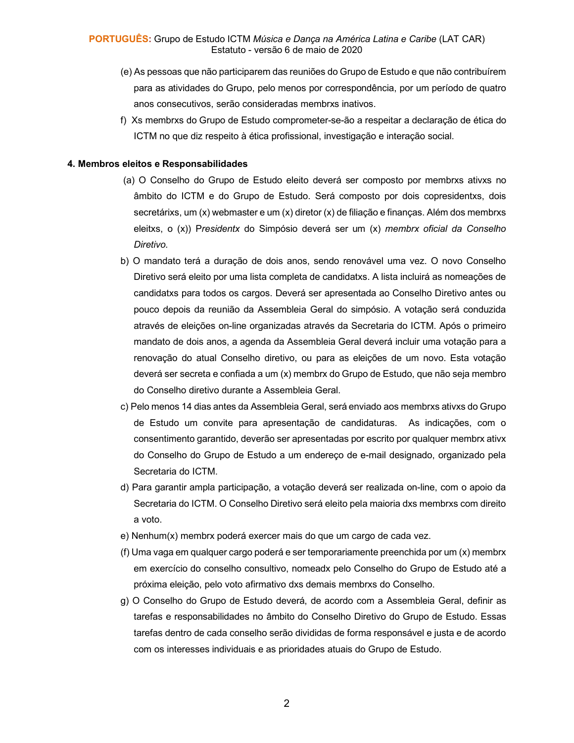- (e) As pessoas que não participarem das reuniões do Grupo de Estudo e que não contribuírem para as atividades do Grupo, pelo menos por correspondência, por um período de quatro anos consecutivos, serão consideradas membrxs inativos.
- f) Xs membrxs do Grupo de Estudo comprometer-se-ão a respeitar a declaração de ética do ICTM no que diz respeito à ética profissional, investigação e interação social.

# **4. Membros eleitos e Responsabilidades**

- (a) O Conselho do Grupo de Estudo eleito deverá ser composto por membrxs ativxs no âmbito do ICTM e do Grupo de Estudo. Será composto por dois copresidentxs, dois secretárixs, um (x) webmaster e um (x) diretor (x) de filiação e finanças. Além dos membrxs eleitxs, o (x)) P*residentx* do Simpósio deverá ser um (x) *membrx oficial da Conselho Diretivo.*
- b) O mandato terá a duração de dois anos, sendo renovável uma vez. O novo Conselho Diretivo será eleito por uma lista completa de candidatxs. A lista incluirá as nomeações de candidatxs para todos os cargos. Deverá ser apresentada ao Conselho Diretivo antes ou pouco depois da reunião da Assembleia Geral do simpósio. A votação será conduzida através de eleições on-line organizadas através da Secretaria do ICTM. Após o primeiro mandato de dois anos, a agenda da Assembleia Geral deverá incluir uma votação para a renovação do atual Conselho diretivo, ou para as eleições de um novo. Esta votação deverá ser secreta e confiada a um (x) membrx do Grupo de Estudo, que não seja membro do Conselho diretivo durante a Assembleia Geral.
- c) Pelo menos 14 dias antes da Assembleia Geral, será enviado aos membrxs ativxs do Grupo de Estudo um convite para apresentação de candidaturas. As indicações, com o consentimento garantido, deverão ser apresentadas por escrito por qualquer membrx ativx do Conselho do Grupo de Estudo a um endereço de e-mail designado, organizado pela Secretaria do ICTM.
- d) Para garantir ampla participação, a votação deverá ser realizada on-line, com o apoio da Secretaria do ICTM. O Conselho Diretivo será eleito pela maioria dxs membrxs com direito a voto.
- e) Nenhum(x) membrx poderá exercer mais do que um cargo de cada vez.
- (f) Uma vaga em qualquer cargo poderá e ser temporariamente preenchida por um (x) membrx em exercício do conselho consultivo, nomeadx pelo Conselho do Grupo de Estudo até a próxima eleição, pelo voto afirmativo dxs demais membrxs do Conselho.
- g) O Conselho do Grupo de Estudo deverá, de acordo com a Assembleia Geral, definir as tarefas e responsabilidades no âmbito do Conselho Diretivo do Grupo de Estudo. Essas tarefas dentro de cada conselho serão divididas de forma responsável e justa e de acordo com os interesses individuais e as prioridades atuais do Grupo de Estudo.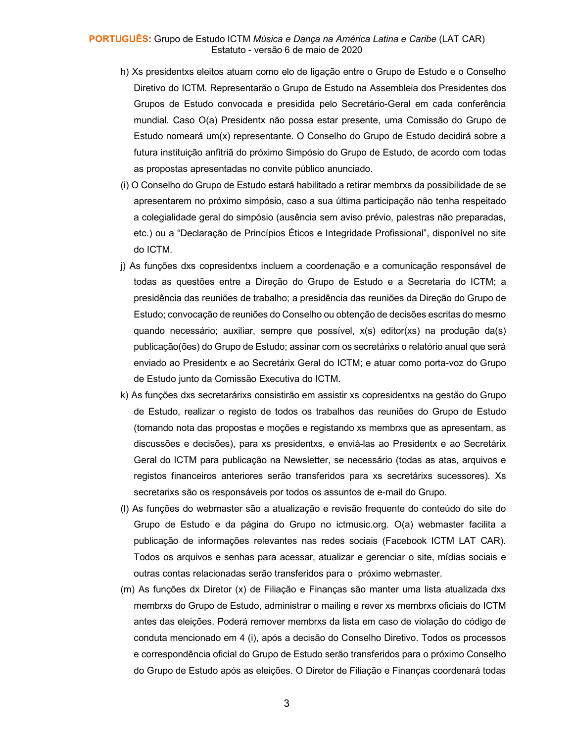#### **PORTUGUÊS:** Grupo de Estudo ICTM *Música e Dança na América Latina e Caribe* (LAT CAR) Estatuto - versão 6 de maio de 2020

- h) Xs presidentxs eleitos atuam como elo de ligação entre o Grupo de Estudo e o Conselho Diretivo do ICTM. Representarão o Grupo de Estudo na Assembleia dos Presidentes dos Grupos de Estudo convocada e presidida pelo Secretário-Geral em cada conferência mundial. Caso O(a) Presidentx não possa estar presente, uma Comissão do Grupo de Estudo nomeará um(x) representante. O Conselho do Grupo de Estudo decidirá sobre a futura instituição anfitriã do próximo Simpósio do Grupo de Estudo, de acordo com todas as propostas apresentadas no convite público anunciado.
- (i) O Conselho do Grupo de Estudo estará habilitado a retirar membrxs da possibilidade de se apresentarem no próximo simpósio, caso a sua última participação não tenha respeitado a colegialidade geral do simpósio (ausência sem aviso prévio, palestras não preparadas, etc.) ou a "Declaração de Princípios Éticos e Integridade Profissional", disponível no site do ICTM.
- j) As funções dxs copresidentxs incluem a coordenação e a comunicação responsável de todas as questões entre a Direção do Grupo de Estudo e a Secretaria do ICTM; a presidência das reuniões de trabalho; a presidência das reuniões da Direção do Grupo de Estudo; convocação de reuniões do Conselho ou obtenção de decisões escritas do mesmo quando necessário; auxiliar, sempre que possível, x(s) editor(xs) na produção da(s) publicação(ões) do Grupo de Estudo; assinar com os secretárixs o relatório anual que será enviado ao Presidentx e ao Secretárix Geral do ICTM; e atuar como porta-voz do Grupo de Estudo junto da Comissão Executiva do ICTM.
- k) As funções dxs secretarárixs consistirão em assistir xs copresidentxs na gestão do Grupo de Estudo, realizar o registo de todos os trabalhos das reuniões do Grupo de Estudo (tomando nota das propostas e moções e registando xs membrxs que as apresentam, as discussões e decisões), para xs presidentxs, e enviá-las ao Presidentx e ao Secretárix Geral do ICTM para publicação na Newsletter, se necessário (todas as atas, arquivos e registos financeiros anteriores serão transferidos para xs secretárixs sucessores). Xs secretarixs são os responsáveis por todos os assuntos de e-mail do Grupo.
- (l) As funções do webmaster são a atualização e revisão frequente do conteúdo do site do Grupo de Estudo e da página do Grupo no ictmusic.org. O(a) webmaster facilita a publicação de informações relevantes nas redes sociais (Facebook ICTM LAT CAR). Todos os arquivos e senhas para acessar, atualizar e gerenciar o site, mídias sociais e outras contas relacionadas serão transferidos para o próximo webmaster.
- (m) As funções dx Diretor (x) de Filiação e Finanças são manter uma lista atualizada dxs membrxs do Grupo de Estudo, administrar o mailing e rever xs membrxs oficiais do ICTM antes das eleições. Poderá remover membrxs da lista em caso de violação do código de conduta mencionado em 4 (i), após a decisão do Conselho Diretivo. Todos os processos e correspondência oficial do Grupo de Estudo serão transferidos para o próximo Conselho do Grupo de Estudo após as eleições. O Diretor de Filiação e Finanças coordenará todas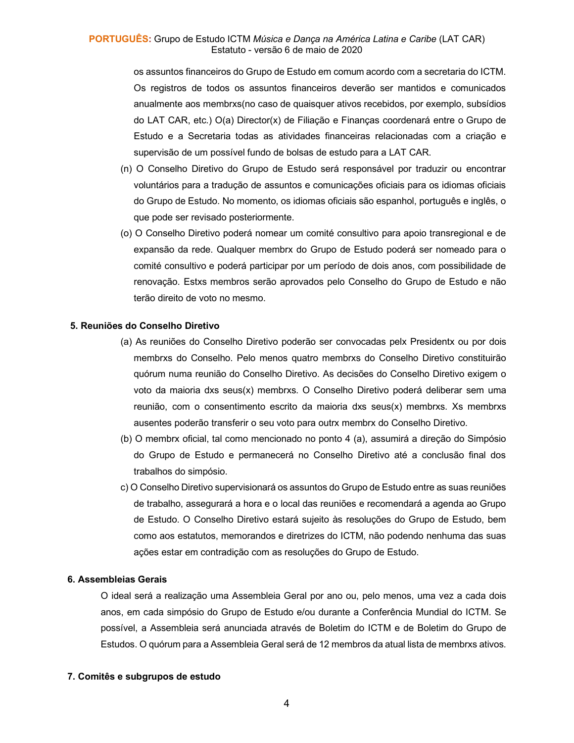### **PORTUGUÊS:** Grupo de Estudo ICTM *Música e Dança na América Latina e Caribe* (LAT CAR) Estatuto - versão 6 de maio de 2020

os assuntos financeiros do Grupo de Estudo em comum acordo com a secretaria do ICTM. Os registros de todos os assuntos financeiros deverão ser mantidos e comunicados anualmente aos membrxs(no caso de quaisquer ativos recebidos, por exemplo, subsídios do LAT CAR, etc.) O(a) Director(x) de Filiação e Finanças coordenará entre o Grupo de Estudo e a Secretaria todas as atividades financeiras relacionadas com a criação e supervisão de um possível fundo de bolsas de estudo para a LAT CAR.

- (n) O Conselho Diretivo do Grupo de Estudo será responsável por traduzir ou encontrar voluntários para a tradução de assuntos e comunicações oficiais para os idiomas oficiais do Grupo de Estudo. No momento, os idiomas oficiais são espanhol, português e inglês, o que pode ser revisado posteriormente.
- (o) O Conselho Diretivo poderá nomear um comité consultivo para apoio transregional e de expansão da rede. Qualquer membrx do Grupo de Estudo poderá ser nomeado para o comité consultivo e poderá participar por um período de dois anos, com possibilidade de renovação. Estxs membros serão aprovados pelo Conselho do Grupo de Estudo e não terão direito de voto no mesmo.

#### **5. Reuniões do Conselho Diretivo**

- (a) As reuniões do Conselho Diretivo poderão ser convocadas pelx Presidentx ou por dois membrxs do Conselho. Pelo menos quatro membrxs do Conselho Diretivo constituirão quórum numa reunião do Conselho Diretivo. As decisões do Conselho Diretivo exigem o voto da maioria dxs seus(x) membrxs. O Conselho Diretivo poderá deliberar sem uma reunião, com o consentimento escrito da maioria dxs seus(x) membrxs. Xs membrxs ausentes poderão transferir o seu voto para outrx membrx do Conselho Diretivo.
- (b) O membrx oficial, tal como mencionado no ponto 4 (a), assumirá a direção do Simpósio do Grupo de Estudo e permanecerá no Conselho Diretivo até a conclusão final dos trabalhos do simpósio.
- c) O Conselho Diretivo supervisionará os assuntos do Grupo de Estudo entre as suas reuniões de trabalho, assegurará a hora e o local das reuniões e recomendará a agenda ao Grupo de Estudo. O Conselho Diretivo estará sujeito às resoluções do Grupo de Estudo, bem como aos estatutos, memorandos e diretrizes do ICTM, não podendo nenhuma das suas ações estar em contradição com as resoluções do Grupo de Estudo.

#### **6. Assembleias Gerais**

O ideal será a realização uma Assembleia Geral por ano ou, pelo menos, uma vez a cada dois anos, em cada simpósio do Grupo de Estudo e/ou durante a Conferência Mundial do ICTM. Se possível, a Assembleia será anunciada através de Boletim do ICTM e de Boletim do Grupo de Estudos. O quórum para a Assembleia Geral será de 12 membros da atual lista de membrxs ativos.

#### **7. Comitês e subgrupos de estudo**